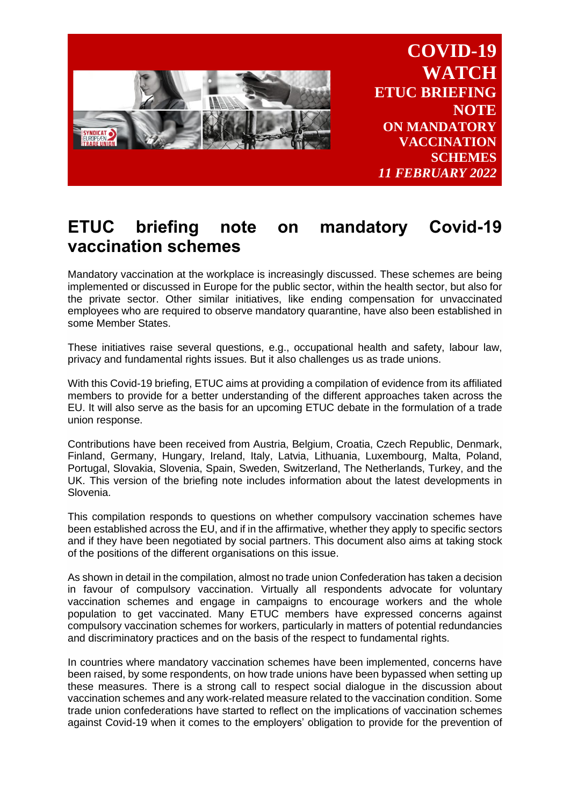

**COVID-19 WATCH ETUC BRIEFING NOTE ON MANDATORY VACCINATION SCHEMES** *11 FEBRUARY 2022*

# **ETUC briefing note on mandatory Covid-19 vaccination schemes**

Mandatory vaccination at the workplace is increasingly discussed. These schemes are being implemented or discussed in Europe for the public sector, within the health sector, but also for the private sector. Other similar initiatives, like ending compensation for unvaccinated employees who are required to observe mandatory quarantine, have also been established in some Member States.

These initiatives raise several questions, e.g., occupational health and safety, labour law, privacy and fundamental rights issues. But it also challenges us as trade unions.

With this Covid-19 briefing, ETUC aims at providing a compilation of evidence from its affiliated members to provide for a better understanding of the different approaches taken across the EU. It will also serve as the basis for an upcoming ETUC debate in the formulation of a trade union response.

Contributions have been received from Austria, Belgium, Croatia, Czech Republic, Denmark, Finland, Germany, Hungary, Ireland, Italy, Latvia, Lithuania, Luxembourg, Malta, Poland, Portugal, Slovakia, Slovenia, Spain, Sweden, Switzerland, The Netherlands, Turkey, and the UK. This version of the briefing note includes information about the latest developments in Slovenia.

This compilation responds to questions on whether compulsory vaccination schemes have been established across the EU, and if in the affirmative, whether they apply to specific sectors and if they have been negotiated by social partners. This document also aims at taking stock of the positions of the different organisations on this issue.

As shown in detail in the compilation, almost no trade union Confederation has taken a decision in favour of compulsory vaccination. Virtually all respondents advocate for voluntary vaccination schemes and engage in campaigns to encourage workers and the whole population to get vaccinated. Many ETUC members have expressed concerns against compulsory vaccination schemes for workers, particularly in matters of potential redundancies and discriminatory practices and on the basis of the respect to fundamental rights.

In countries where mandatory vaccination schemes have been implemented, concerns have been raised, by some respondents, on how trade unions have been bypassed when setting up these measures. There is a strong call to respect social dialogue in the discussion about vaccination schemes and any work-related measure related to the vaccination condition. Some trade union confederations have started to reflect on the implications of vaccination schemes against Covid-19 when it comes to the employers' obligation to provide for the prevention of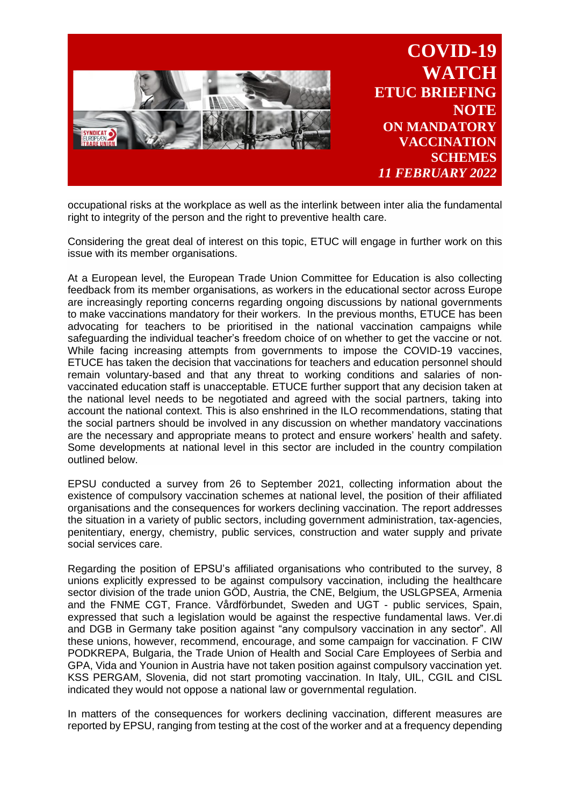

occupational risks at the workplace as well as the interlink between inter alia the fundamental right to integrity of the person and the right to preventive health care.

Considering the great deal of interest on this topic, ETUC will engage in further work on this issue with its member organisations.

At a European level, the European Trade Union Committee for Education is also collecting feedback from its member organisations, as workers in the educational sector across Europe are increasingly reporting concerns regarding ongoing discussions by national governments to make vaccinations mandatory for their workers. In the previous months, ETUCE has been advocating for teachers to be prioritised in the national vaccination campaigns while safeguarding the individual teacher's freedom choice of on whether to get the vaccine or not. While facing increasing attempts from governments to impose the COVID-19 vaccines, ETUCE has taken the decision that vaccinations for teachers and education personnel should remain voluntary-based and that any threat to working conditions and salaries of nonvaccinated education staff is unacceptable. ETUCE further support that any decision taken at the national level needs to be negotiated and agreed with the social partners, taking into account the national context. This is also enshrined in the ILO recommendations, stating that the social partners should be involved in any discussion on whether mandatory vaccinations are the necessary and appropriate means to protect and ensure workers' health and safety. Some developments at national level in this sector are included in the country compilation outlined below.

EPSU conducted a survey from 26 to September 2021, collecting information about the existence of compulsory vaccination schemes at national level, the position of their affiliated organisations and the consequences for workers declining vaccination. The report addresses the situation in a variety of public sectors, including government administration, tax-agencies, penitentiary, energy, chemistry, public services, construction and water supply and private social services care.

Regarding the position of EPSU's affiliated organisations who contributed to the survey, 8 unions explicitly expressed to be against compulsory vaccination, including the healthcare sector division of the trade union GÖD, Austria, the CNE, Belgium, the USLGPSEA, Armenia and the FNME CGT, France. Vårdförbundet, Sweden and UGT - public services, Spain, expressed that such a legislation would be against the respective fundamental laws. Ver.di and DGB in Germany take position against "any compulsory vaccination in any sector". All these unions, however, recommend, encourage, and some campaign for vaccination. F CIW PODKREPA, Bulgaria, the Trade Union of Health and Social Care Employees of Serbia and GPA, Vida and Younion in Austria have not taken position against compulsory vaccination yet. KSS PERGAM, Slovenia, did not start promoting vaccination. In Italy, UIL, CGIL and CISL indicated they would not oppose a national law or governmental regulation.

In matters of the consequences for workers declining vaccination, different measures are reported by EPSU, ranging from testing at the cost of the worker and at a frequency depending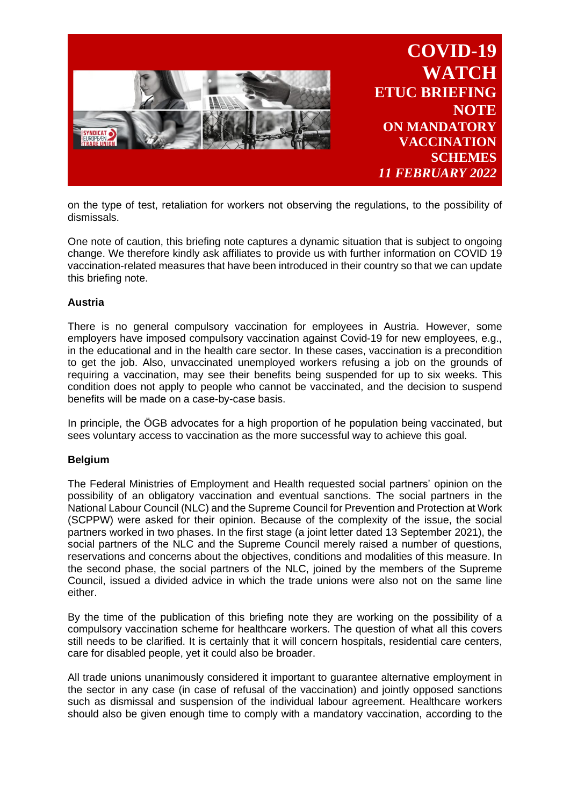

on the type of test, retaliation for workers not observing the regulations, to the possibility of dismissals.

One note of caution, this briefing note captures a dynamic situation that is subject to ongoing change. We therefore kindly ask affiliates to provide us with further information on COVID 19 vaccination-related measures that have been introduced in their country so that we can update this briefing note.

## **Austria**

There is no general compulsory vaccination for employees in Austria. However, some employers have imposed compulsory vaccination against Covid-19 for new employees, e.g., in the educational and in the health care sector. In these cases, vaccination is a precondition to get the job. Also, unvaccinated unemployed workers refusing a job on the grounds of requiring a vaccination, may see their benefits being suspended for up to six weeks. This condition does not apply to people who cannot be vaccinated, and the decision to suspend benefits will be made on a case-by-case basis.

In principle, the ÖGB advocates for a high proportion of he population being vaccinated, but sees voluntary access to vaccination as the more successful way to achieve this goal.

## **Belgium**

The Federal Ministries of Employment and Health requested social partners' opinion on the possibility of an obligatory vaccination and eventual sanctions. The social partners in the National Labour Council (NLC) and the Supreme Council for Prevention and Protection at Work (SCPPW) were asked for their opinion. Because of the complexity of the issue, the social partners worked in two phases. In the first stage (a joint letter dated 13 September 2021), the social partners of the NLC and the Supreme Council merely raised a number of questions, reservations and concerns about the objectives, conditions and modalities of this measure. In the second phase, the social partners of the NLC, joined by the members of the Supreme Council, issued a divided advice in which the trade unions were also not on the same line either.

By the time of the publication of this briefing note they are working on the possibility of a compulsory vaccination scheme for healthcare workers. The question of what all this covers still needs to be clarified. It is certainly that it will concern hospitals, residential care centers, care for disabled people, yet it could also be broader.

All trade unions unanimously considered it important to guarantee alternative employment in the sector in any case (in case of refusal of the vaccination) and jointly opposed sanctions such as dismissal and suspension of the individual labour agreement. Healthcare workers should also be given enough time to comply with a mandatory vaccination, according to the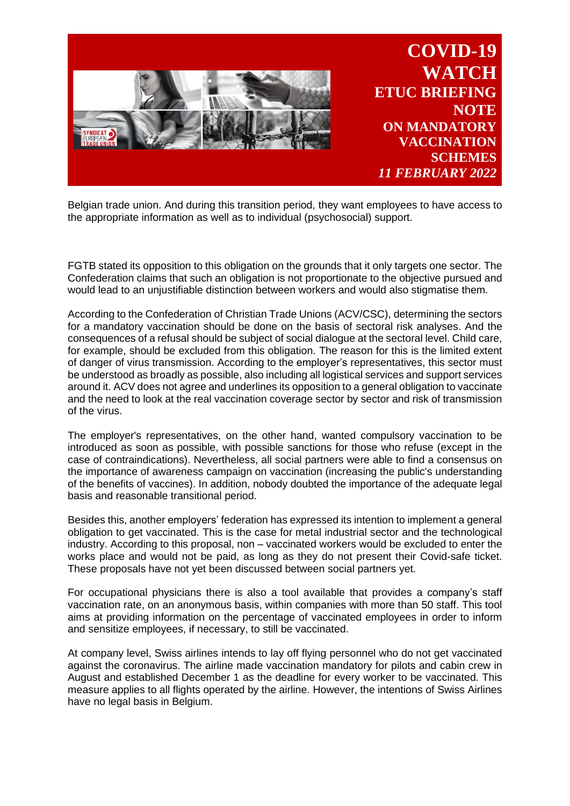

Belgian trade union. And during this transition period, they want employees to have access to the appropriate information as well as to individual (psychosocial) support.

FGTB stated its opposition to this obligation on the grounds that it only targets one sector. The Confederation claims that such an obligation is not proportionate to the objective pursued and would lead to an unjustifiable distinction between workers and would also stigmatise them.

According to the Confederation of Christian Trade Unions (ACV/CSC), determining the sectors for a mandatory vaccination should be done on the basis of sectoral risk analyses. And the consequences of a refusal should be subject of social dialogue at the sectoral level. Child care, for example, should be excluded from this obligation. The reason for this is the limited extent of danger of virus transmission. According to the employer's representatives, this sector must be understood as broadly as possible, also including all logistical services and support services around it. ACV does not agree and underlines its opposition to a general obligation to vaccinate and the need to look at the real vaccination coverage sector by sector and risk of transmission of the virus.

The employer's representatives, on the other hand, wanted compulsory vaccination to be introduced as soon as possible, with possible sanctions for those who refuse (except in the case of contraindications). Nevertheless, all social partners were able to find a consensus on the importance of awareness campaign on vaccination (increasing the public's understanding of the benefits of vaccines). In addition, nobody doubted the importance of the adequate legal basis and reasonable transitional period.

Besides this, another employers' federation has expressed its intention to implement a general obligation to get vaccinated. This is the case for metal industrial sector and the technological industry. According to this proposal, non – vaccinated workers would be excluded to enter the works place and would not be paid, as long as they do not present their Covid-safe ticket. These proposals have not yet been discussed between social partners yet.

For occupational physicians there is also a tool available that provides a company's staff vaccination rate, on an anonymous basis, within companies with more than 50 staff. This tool aims at providing information on the percentage of vaccinated employees in order to inform and sensitize employees, if necessary, to still be vaccinated.

At company level, Swiss airlines intends to lay off flying personnel who do not get vaccinated against the coronavirus. The airline made vaccination mandatory for pilots and cabin crew in August and established December 1 as the deadline for every worker to be vaccinated. This measure applies to all flights operated by the airline. However, the intentions of Swiss Airlines have no legal basis in Belgium.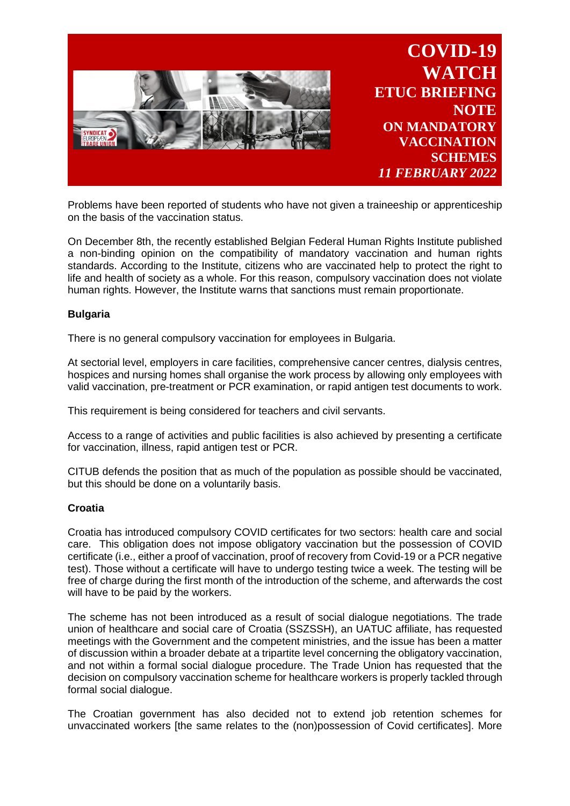

Problems have been reported of students who have not given a traineeship or apprenticeship on the basis of the vaccination status.

On December 8th, the recently established Belgian Federal Human Rights Institute published a non-binding opinion on the compatibility of mandatory vaccination and human rights standards. According to the Institute, citizens who are vaccinated help to protect the right to life and health of society as a whole. For this reason, compulsory vaccination does not violate human rights. However, the Institute warns that sanctions must remain proportionate.

# **Bulgaria**

There is no general compulsory vaccination for employees in Bulgaria.

At sectorial level, employers in care facilities, comprehensive cancer centres, dialysis centres, hospices and nursing homes shall organise the work process by allowing only employees with valid vaccination, pre-treatment or PCR examination, or rapid antigen test documents to work.

This requirement is being considered for teachers and civil servants.

Access to a range of activities and public facilities is also achieved by presenting a certificate for vaccination, illness, rapid antigen test or PCR.

CITUB defends the position that as much of the population as possible should be vaccinated, but this should be done on a voluntarily basis.

## **Croatia**

Croatia has introduced compulsory COVID certificates for two sectors: health care and social care. This obligation does not impose obligatory vaccination but the possession of COVID certificate (i.e., either a proof of vaccination, proof of recovery from Covid-19 or a PCR negative test). Those without a certificate will have to undergo testing twice a week. The testing will be free of charge during the first month of the introduction of the scheme, and afterwards the cost will have to be paid by the workers.

The scheme has not been introduced as a result of social dialogue negotiations. The trade union of healthcare and social care of Croatia (SSZSSH), an UATUC affiliate, has requested meetings with the Government and the competent ministries, and the issue has been a matter of discussion within a broader debate at a tripartite level concerning the obligatory vaccination, and not within a formal social dialogue procedure. The Trade Union has requested that the decision on compulsory vaccination scheme for healthcare workers is properly tackled through formal social dialogue.

The Croatian government has also decided not to extend job retention schemes for unvaccinated workers [the same relates to the (non)possession of Covid certificates]. More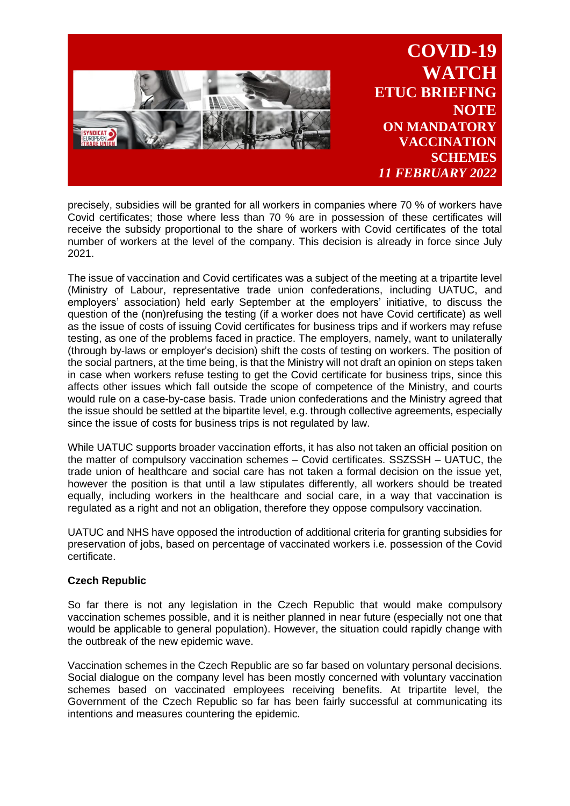

precisely, subsidies will be granted for all workers in companies where 70 % of workers have Covid certificates; those where less than 70 % are in possession of these certificates will receive the subsidy proportional to the share of workers with Covid certificates of the total number of workers at the level of the company. This decision is already in force since July 2021.

The issue of vaccination and Covid certificates was a subject of the meeting at a tripartite level (Ministry of Labour, representative trade union confederations, including UATUC, and employers' association) held early September at the employers' initiative, to discuss the question of the (non)refusing the testing (if a worker does not have Covid certificate) as well as the issue of costs of issuing Covid certificates for business trips and if workers may refuse testing, as one of the problems faced in practice. The employers, namely, want to unilaterally (through by-laws or employer's decision) shift the costs of testing on workers. The position of the social partners, at the time being, is that the Ministry will not draft an opinion on steps taken in case when workers refuse testing to get the Covid certificate for business trips, since this affects other issues which fall outside the scope of competence of the Ministry, and courts would rule on a case-by-case basis. Trade union confederations and the Ministry agreed that the issue should be settled at the bipartite level, e.g. through collective agreements, especially since the issue of costs for business trips is not regulated by law.

While UATUC supports broader vaccination efforts, it has also not taken an official position on the matter of compulsory vaccination schemes – Covid certificates. SSZSSH – UATUC, the trade union of healthcare and social care has not taken a formal decision on the issue yet, however the position is that until a law stipulates differently, all workers should be treated equally, including workers in the healthcare and social care, in a way that vaccination is regulated as a right and not an obligation, therefore they oppose compulsory vaccination.

UATUC and NHS have opposed the introduction of additional criteria for granting subsidies for preservation of jobs, based on percentage of vaccinated workers i.e. possession of the Covid certificate.

# **Czech Republic**

So far there is not any legislation in the Czech Republic that would make compulsory vaccination schemes possible, and it is neither planned in near future (especially not one that would be applicable to general population). However, the situation could rapidly change with the outbreak of the new epidemic wave.

Vaccination schemes in the Czech Republic are so far based on voluntary personal decisions. Social dialogue on the company level has been mostly concerned with voluntary vaccination schemes based on vaccinated employees receiving benefits. At tripartite level, the Government of the Czech Republic so far has been fairly successful at communicating its intentions and measures countering the epidemic.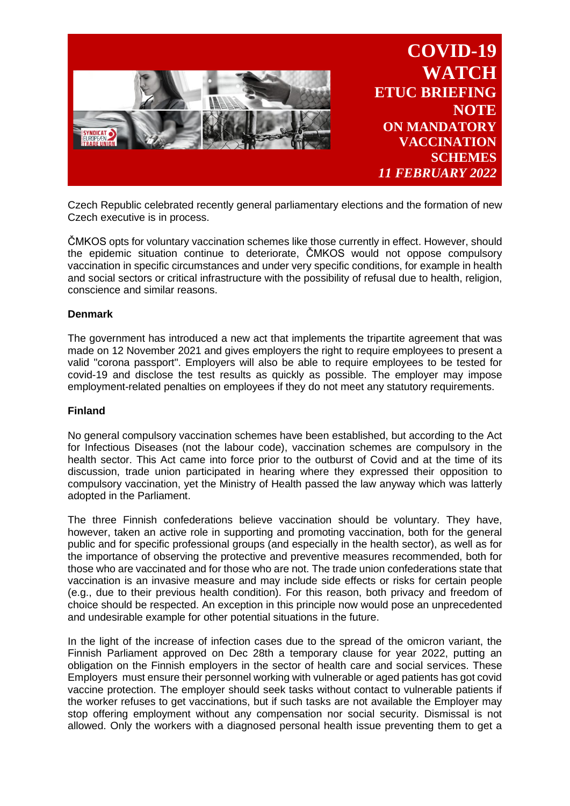

Czech Republic celebrated recently general parliamentary elections and the formation of new Czech executive is in process.

ČMKOS opts for voluntary vaccination schemes like those currently in effect. However, should the epidemic situation continue to deteriorate, ČMKOS would not oppose compulsory vaccination in specific circumstances and under very specific conditions, for example in health and social sectors or critical infrastructure with the possibility of refusal due to health, religion, conscience and similar reasons.

## **Denmark**

The government has introduced a new act that implements the tripartite agreement that was made on 12 November 2021 and gives employers the right to require employees to present a valid "corona passport". Employers will also be able to require employees to be tested for covid-19 and disclose the test results as quickly as possible. The employer may impose employment-related penalties on employees if they do not meet any statutory requirements.

## **Finland**

No general compulsory vaccination schemes have been established, but according to the Act for Infectious Diseases (not the labour code), vaccination schemes are compulsory in the health sector. This Act came into force prior to the outburst of Covid and at the time of its discussion, trade union participated in hearing where they expressed their opposition to compulsory vaccination, yet the Ministry of Health passed the law anyway which was latterly adopted in the Parliament.

The three Finnish confederations believe vaccination should be voluntary. They have, however, taken an active role in supporting and promoting vaccination, both for the general public and for specific professional groups (and especially in the health sector), as well as for the importance of observing the protective and preventive measures recommended, both for those who are vaccinated and for those who are not. The trade union confederations state that vaccination is an invasive measure and may include side effects or risks for certain people (e.g., due to their previous health condition). For this reason, both privacy and freedom of choice should be respected. An exception in this principle now would pose an unprecedented and undesirable example for other potential situations in the future.

In the light of the increase of infection cases due to the spread of the omicron variant, the Finnish Parliament approved on Dec 28th a temporary clause for year 2022, putting an obligation on the Finnish employers in the sector of health care and social services. These Employers must ensure their personnel working with vulnerable or aged patients has got covid vaccine protection. The employer should seek tasks without contact to vulnerable patients if the worker refuses to get vaccinations, but if such tasks are not available the Employer may stop offering employment without any compensation nor social security. Dismissal is not allowed. Only the workers with a diagnosed personal health issue preventing them to get a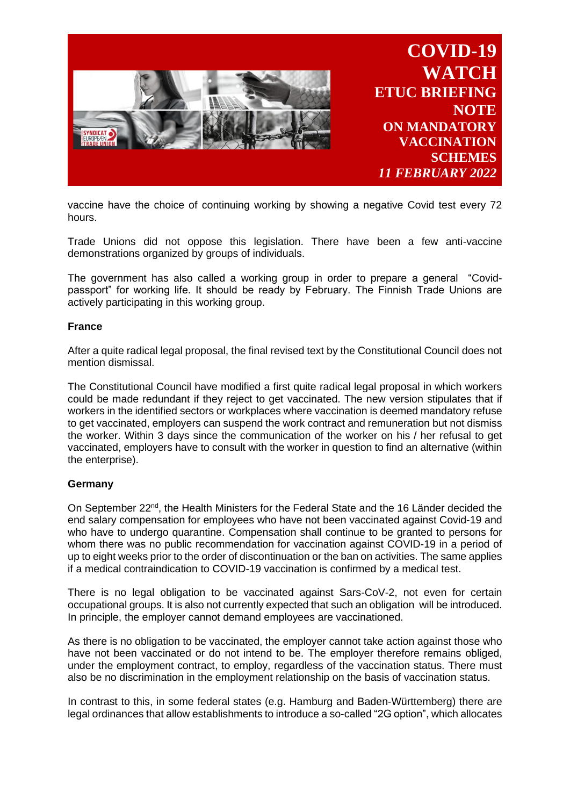

vaccine have the choice of continuing working by showing a negative Covid test every 72 hours.

Trade Unions did not oppose this legislation. There have been a few anti-vaccine demonstrations organized by groups of individuals.

The government has also called a working group in order to prepare a general "Covidpassport" for working life. It should be ready by February. The Finnish Trade Unions are actively participating in this working group.

## **France**

After a quite radical legal proposal, the final revised text by the Constitutional Council does not mention dismissal.

The Constitutional Council have modified a first quite radical legal proposal in which workers could be made redundant if they reject to get vaccinated. The new version stipulates that if workers in the identified sectors or workplaces where vaccination is deemed mandatory refuse to get vaccinated, employers can suspend the work contract and remuneration but not dismiss the worker. Within 3 days since the communication of the worker on his / her refusal to get vaccinated, employers have to consult with the worker in question to find an alternative (within the enterprise).

## **Germany**

On September 22<sup>nd</sup>, the Health Ministers for the Federal State and the 16 Länder decided the end salary compensation for employees who have not been vaccinated against Covid-19 and who have to undergo quarantine. Compensation shall continue to be granted to persons for whom there was no public recommendation for vaccination against COVID-19 in a period of up to eight weeks prior to the order of discontinuation or the ban on activities. The same applies if a medical contraindication to COVID-19 vaccination is confirmed by a medical test.

There is no legal obligation to be vaccinated against Sars-CoV-2, not even for certain occupational groups. It is also not currently expected that such an obligation will be introduced. In principle, the employer cannot demand employees are vaccinationed.

As there is no obligation to be vaccinated, the employer cannot take action against those who have not been vaccinated or do not intend to be. The employer therefore remains obliged, under the employment contract, to employ, regardless of the vaccination status. There must also be no discrimination in the employment relationship on the basis of vaccination status.

In contrast to this, in some federal states (e.g. Hamburg and Baden-Württemberg) there are legal ordinances that allow establishments to introduce a so-called "2G option", which allocates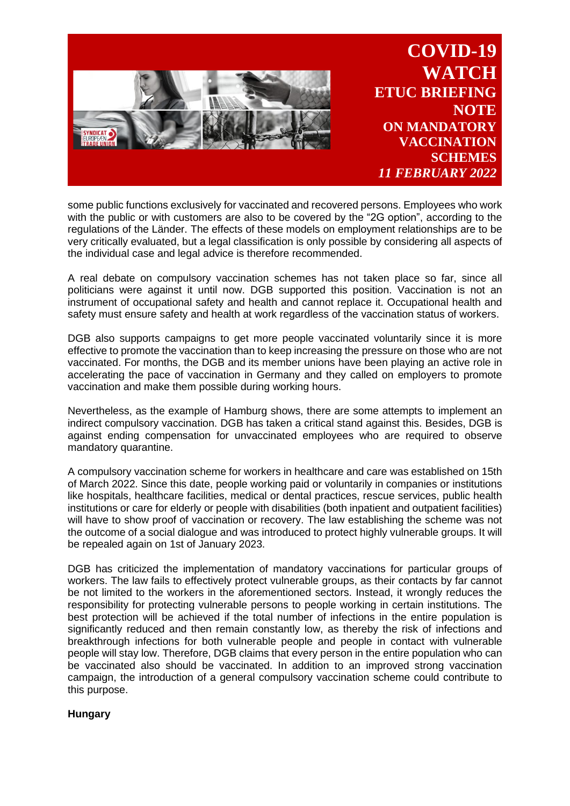

some public functions exclusively for vaccinated and recovered persons. Employees who work with the public or with customers are also to be covered by the "2G option", according to the regulations of the Länder. The effects of these models on employment relationships are to be very critically evaluated, but a legal classification is only possible by considering all aspects of the individual case and legal advice is therefore recommended.

A real debate on compulsory vaccination schemes has not taken place so far, since all politicians were against it until now. DGB supported this position. Vaccination is not an instrument of occupational safety and health and cannot replace it. Occupational health and safety must ensure safety and health at work regardless of the vaccination status of workers.

DGB also supports campaigns to get more people vaccinated voluntarily since it is more effective to promote the vaccination than to keep increasing the pressure on those who are not vaccinated. For months, the DGB and its member unions have been playing an active role in accelerating the pace of vaccination in Germany and they called on employers to promote vaccination and make them possible during working hours.

Nevertheless, as the example of Hamburg shows, there are some attempts to implement an indirect compulsory vaccination. DGB has taken a critical stand against this. Besides, DGB is against ending compensation for unvaccinated employees who are required to observe mandatory quarantine.

A compulsory vaccination scheme for workers in healthcare and care was established on 15th of March 2022. Since this date, people working paid or voluntarily in companies or institutions like hospitals, healthcare facilities, medical or dental practices, rescue services, public health institutions or care for elderly or people with disabilities (both inpatient and outpatient facilities) will have to show proof of vaccination or recovery. The law establishing the scheme was not the outcome of a social dialogue and was introduced to protect highly vulnerable groups. It will be repealed again on 1st of January 2023.

DGB has criticized the implementation of mandatory vaccinations for particular groups of workers. The law fails to effectively protect vulnerable groups, as their contacts by far cannot be not limited to the workers in the aforementioned sectors. Instead, it wrongly reduces the responsibility for protecting vulnerable persons to people working in certain institutions. The best protection will be achieved if the total number of infections in the entire population is significantly reduced and then remain constantly low, as thereby the risk of infections and breakthrough infections for both vulnerable people and people in contact with vulnerable people will stay low. Therefore, DGB claims that every person in the entire population who can be vaccinated also should be vaccinated. In addition to an improved strong vaccination campaign, the introduction of a general compulsory vaccination scheme could contribute to this purpose.

# **Hungary**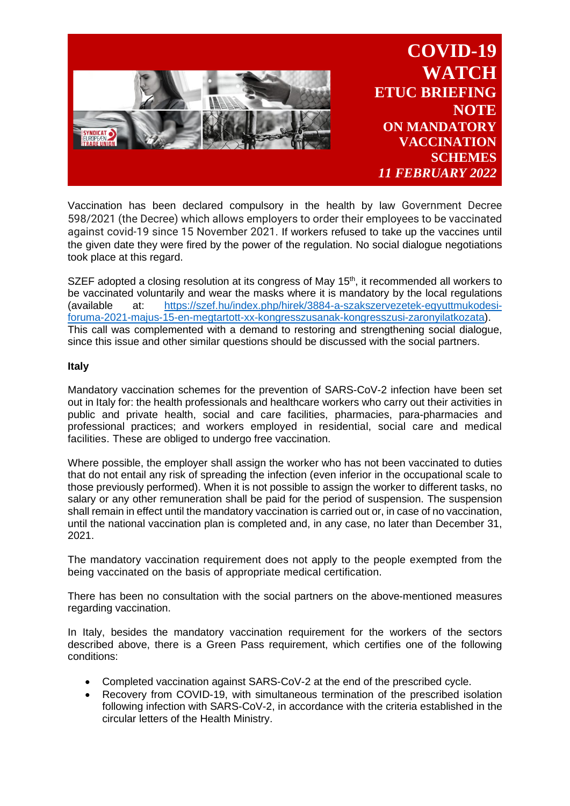

Vaccination has been declared compulsory in the health by law Government Decree 598/2021 (the Decree) which allows employers to order their employees to be vaccinated against covid-19 since 15 November 2021. If workers refused to take up the vaccines until the given date they were fired by the power of the regulation. No social dialogue negotiations took place at this regard.

SZEF adopted a closing resolution at its congress of May  $15<sup>th</sup>$ , it recommended all workers to be vaccinated voluntarily and wear the masks where it is mandatory by the local regulations (available at: [https://szef.hu/index.php/hirek/3884-a-szakszervezetek-egyuttmukodesi](https://szef.hu/index.php/hirek/3884-a-szakszervezetek-egyuttmukodesi-foruma-2021-majus-15-en-megtartott-xx-kongresszusanak-kongresszusi-zaronyilatkozata)[foruma-2021-majus-15-en-megtartott-xx-kongresszusanak-kongresszusi-zaronyilatkozata\)](https://szef.hu/index.php/hirek/3884-a-szakszervezetek-egyuttmukodesi-foruma-2021-majus-15-en-megtartott-xx-kongresszusanak-kongresszusi-zaronyilatkozata). This call was complemented with a demand to restoring and strengthening social dialogue, since this issue and other similar questions should be discussed with the social partners.

## **Italy**

Mandatory vaccination schemes for the prevention of SARS-CoV-2 infection have been set out in Italy for: the health professionals and healthcare workers who carry out their activities in public and private health, social and care facilities, pharmacies, para-pharmacies and professional practices; and workers employed in residential, social care and medical facilities. These are obliged to undergo free vaccination.

Where possible, the employer shall assign the worker who has not been vaccinated to duties that do not entail any risk of spreading the infection (even inferior in the occupational scale to those previously performed). When it is not possible to assign the worker to different tasks, no salary or any other remuneration shall be paid for the period of suspension. The suspension shall remain in effect until the mandatory vaccination is carried out or, in case of no vaccination, until the national vaccination plan is completed and, in any case, no later than December 31, 2021.

The mandatory vaccination requirement does not apply to the people exempted from the being vaccinated on the basis of appropriate medical certification.

There has been no consultation with the social partners on the above-mentioned measures regarding vaccination.

In Italy, besides the mandatory vaccination requirement for the workers of the sectors described above, there is a Green Pass requirement, which certifies one of the following conditions:

- Completed vaccination against SARS-CoV-2 at the end of the prescribed cycle.
- Recovery from COVID-19, with simultaneous termination of the prescribed isolation following infection with SARS-CoV-2, in accordance with the criteria established in the circular letters of the Health Ministry.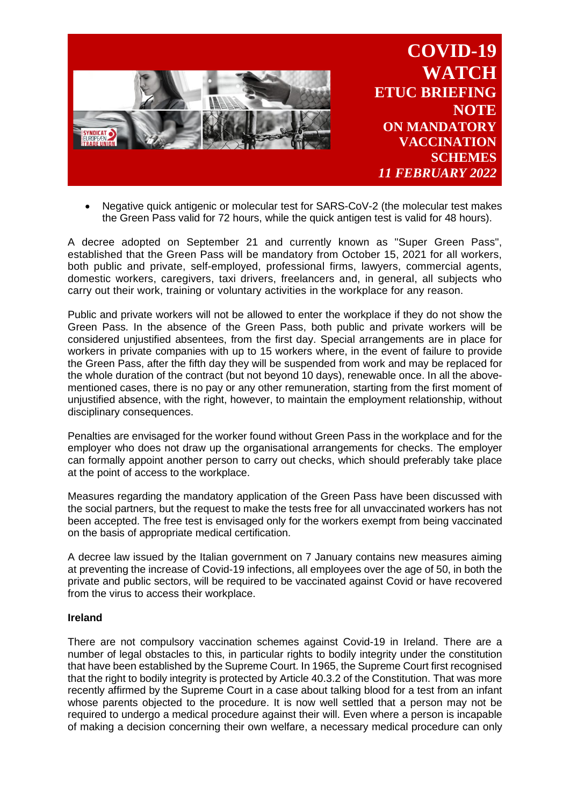

• Negative quick antigenic or molecular test for SARS-CoV-2 (the molecular test makes the Green Pass valid for 72 hours, while the quick antigen test is valid for 48 hours).

A decree adopted on September 21 and currently known as "Super Green Pass", established that the Green Pass will be mandatory from October 15, 2021 for all workers, both public and private, self-employed, professional firms, lawyers, commercial agents, domestic workers, caregivers, taxi drivers, freelancers and, in general, all subjects who carry out their work, training or voluntary activities in the workplace for any reason.

Public and private workers will not be allowed to enter the workplace if they do not show the Green Pass. In the absence of the Green Pass, both public and private workers will be considered unjustified absentees, from the first day. Special arrangements are in place for workers in private companies with up to 15 workers where, in the event of failure to provide the Green Pass, after the fifth day they will be suspended from work and may be replaced for the whole duration of the contract (but not beyond 10 days), renewable once. In all the abovementioned cases, there is no pay or any other remuneration, starting from the first moment of unjustified absence, with the right, however, to maintain the employment relationship, without disciplinary consequences.

Penalties are envisaged for the worker found without Green Pass in the workplace and for the employer who does not draw up the organisational arrangements for checks. The employer can formally appoint another person to carry out checks, which should preferably take place at the point of access to the workplace.

Measures regarding the mandatory application of the Green Pass have been discussed with the social partners, but the request to make the tests free for all unvaccinated workers has not been accepted. The free test is envisaged only for the workers exempt from being vaccinated on the basis of appropriate medical certification.

A decree law issued by the Italian government on 7 January contains new measures aiming at preventing the increase of Covid-19 infections, all employees over the age of 50, in both the private and public sectors, will be required to be vaccinated against Covid or have recovered from the virus to access their workplace.

## **Ireland**

There are not compulsory vaccination schemes against Covid-19 in Ireland. There are a number of legal obstacles to this, in particular rights to bodily integrity under the constitution that have been established by the Supreme Court. In 1965, the Supreme Court first recognised that the right to bodily integrity is protected by Article 40.3.2 of the Constitution. That was more recently affirmed by the Supreme Court in a case about talking blood for a test from an infant whose parents objected to the procedure. It is now well settled that a person may not be required to undergo a medical procedure against their will. Even where a person is incapable of making a decision concerning their own welfare, a necessary medical procedure can only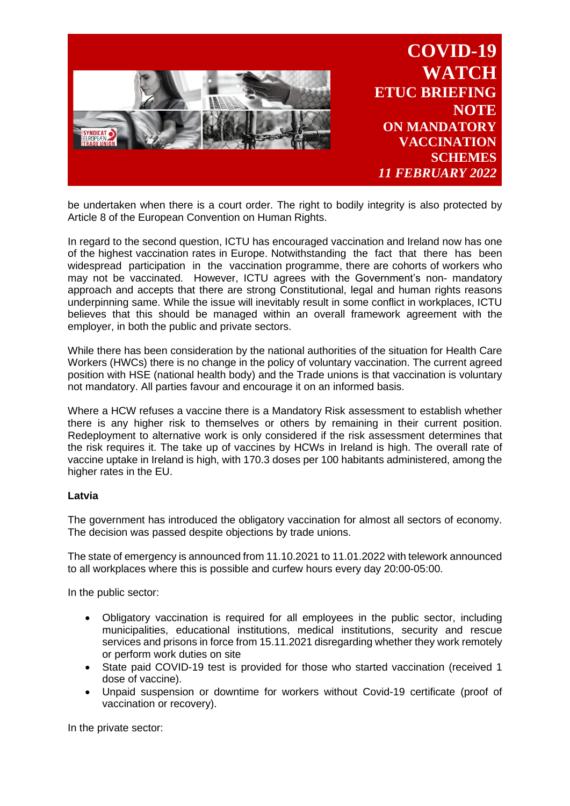

be undertaken when there is a court order. The right to bodily integrity is also protected by Article 8 of the European Convention on Human Rights.

In regard to the second question, ICTU has encouraged vaccination and Ireland now has one of the highest vaccination rates in Europe. Notwithstanding the fact that there has been widespread participation in the vaccination programme, there are cohorts of workers who may not be vaccinated. However, ICTU agrees with the Government's non- mandatory approach and accepts that there are strong Constitutional, legal and human rights reasons underpinning same. While the issue will inevitably result in some conflict in workplaces, ICTU believes that this should be managed within an overall framework agreement with the employer, in both the public and private sectors.

While there has been consideration by the national authorities of the situation for Health Care Workers (HWCs) there is no change in the policy of voluntary vaccination. The current agreed position with HSE (national health body) and the Trade unions is that vaccination is voluntary not mandatory. All parties favour and encourage it on an informed basis.

Where a HCW refuses a vaccine there is a Mandatory Risk assessment to establish whether there is any higher risk to themselves or others by remaining in their current position. Redeployment to alternative work is only considered if the risk assessment determines that the risk requires it. The take up of vaccines by HCWs in Ireland is high. The overall rate of vaccine uptake in Ireland is high, with 170.3 doses per 100 habitants administered, among the higher rates in the EU.

## **Latvia**

The government has introduced the obligatory vaccination for almost all sectors of economy. The decision was passed despite objections by trade unions.

The state of emergency is announced from 11.10.2021 to 11.01.2022 with telework announced to all workplaces where this is possible and curfew hours every day 20:00-05:00.

In the public sector:

- Obligatory vaccination is required for all employees in the public sector, including municipalities, educational institutions, medical institutions, security and rescue services and prisons in force from 15.11.2021 disregarding whether they work remotely or perform work duties on site
- State paid COVID-19 test is provided for those who started vaccination (received 1 dose of vaccine).
- Unpaid suspension or downtime for workers without Covid-19 certificate (proof of vaccination or recovery).

In the private sector: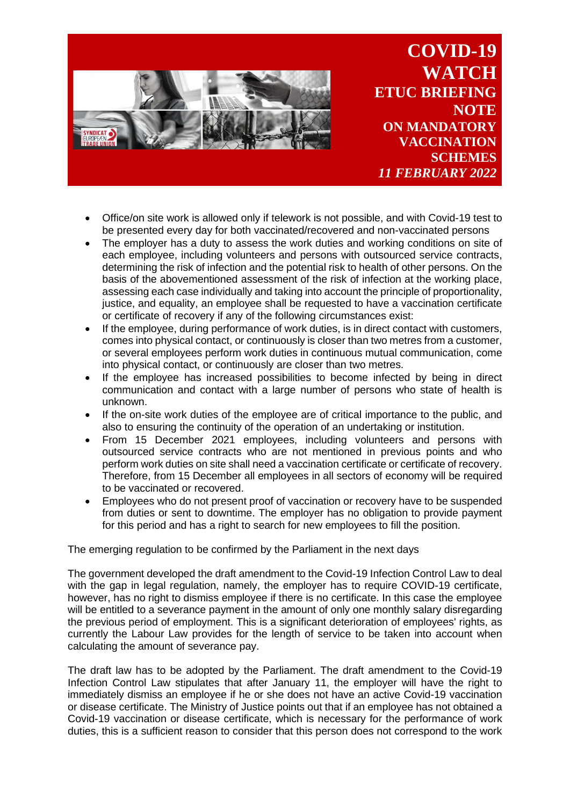

**COVID-19 WATCH ETUC BRIEFING NOTE ON MANDATORY VACCINATION SCHEMES** *11 FEBRUARY 2022*

- Office/on site work is allowed only if telework is not possible, and with Covid-19 test to be presented every day for both vaccinated/recovered and non-vaccinated persons
- The employer has a duty to assess the work duties and working conditions on site of each employee, including volunteers and persons with outsourced service contracts, determining the risk of infection and the potential risk to health of other persons. On the basis of the abovementioned assessment of the risk of infection at the working place, assessing each case individually and taking into account the principle of proportionality, justice, and equality, an employee shall be requested to have a vaccination certificate or certificate of recovery if any of the following circumstances exist:
- If the employee, during performance of work duties, is in direct contact with customers, comes into physical contact, or continuously is closer than two metres from a customer, or several employees perform work duties in continuous mutual communication, come into physical contact, or continuously are closer than two metres.
- If the employee has increased possibilities to become infected by being in direct communication and contact with a large number of persons who state of health is unknown.
- If the on-site work duties of the employee are of critical importance to the public, and also to ensuring the continuity of the operation of an undertaking or institution.
- From 15 December 2021 employees, including volunteers and persons with outsourced service contracts who are not mentioned in previous points and who perform work duties on site shall need a vaccination certificate or certificate of recovery. Therefore, from 15 December all employees in all sectors of economy will be required to be vaccinated or recovered.
- Employees who do not present proof of vaccination or recovery have to be suspended from duties or sent to downtime. The employer has no obligation to provide payment for this period and has a right to search for new employees to fill the position.

The emerging regulation to be confirmed by the Parliament in the next days

The government developed the draft amendment to the Covid-19 Infection Control Law to deal with the gap in legal regulation, namely, the employer has to require COVID-19 certificate, however, has no right to dismiss employee if there is no certificate. In this case the employee will be entitled to a severance payment in the amount of only one monthly salary disregarding the previous period of employment. This is a significant deterioration of employees' rights, as currently the Labour Law provides for the length of service to be taken into account when calculating the amount of severance pay.

The draft law has to be adopted by the Parliament. The draft amendment to the Covid-19 Infection Control Law stipulates that after January 11, the employer will have the right to immediately dismiss an employee if he or she does not have an active Covid-19 vaccination or disease certificate. The Ministry of Justice points out that if an employee has not obtained a Covid-19 vaccination or disease certificate, which is necessary for the performance of work duties, this is a sufficient reason to consider that this person does not correspond to the work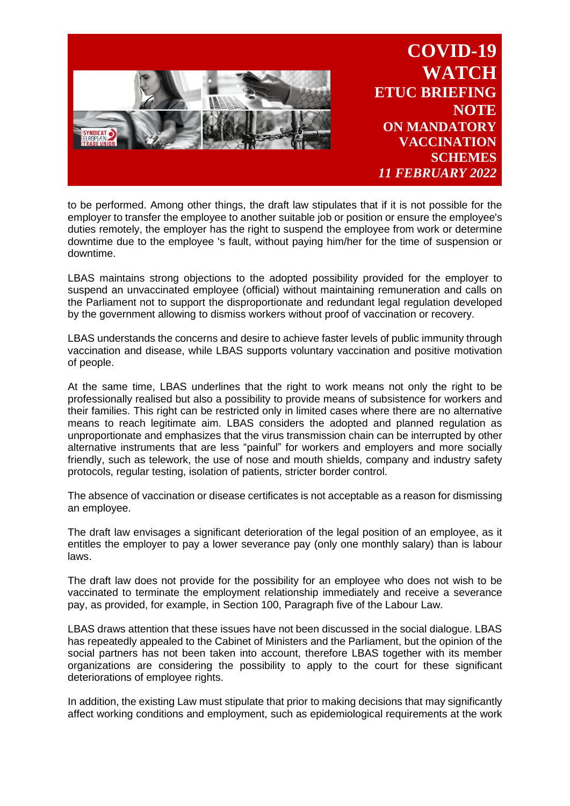

to be performed. Among other things, the draft law stipulates that if it is not possible for the employer to transfer the employee to another suitable job or position or ensure the employee's duties remotely, the employer has the right to suspend the employee from work or determine downtime due to the employee 's fault, without paying him/her for the time of suspension or downtime.

LBAS maintains strong objections to the adopted possibility provided for the employer to suspend an unvaccinated employee (official) without maintaining remuneration and calls on the Parliament not to support the disproportionate and redundant legal regulation developed by the government allowing to dismiss workers without proof of vaccination or recovery.

LBAS understands the concerns and desire to achieve faster levels of public immunity through vaccination and disease, while LBAS supports voluntary vaccination and positive motivation of people.

At the same time, LBAS underlines that the right to work means not only the right to be professionally realised but also a possibility to provide means of subsistence for workers and their families. This right can be restricted only in limited cases where there are no alternative means to reach legitimate aim. LBAS considers the adopted and planned regulation as unproportionate and emphasizes that the virus transmission chain can be interrupted by other alternative instruments that are less "painful" for workers and employers and more socially friendly, such as telework, the use of nose and mouth shields, company and industry safety protocols, regular testing, isolation of patients, stricter border control.

The absence of vaccination or disease certificates is not acceptable as a reason for dismissing an employee.

The draft law envisages a significant deterioration of the legal position of an employee, as it entitles the employer to pay a lower severance pay (only one monthly salary) than is labour laws.

The draft law does not provide for the possibility for an employee who does not wish to be vaccinated to terminate the employment relationship immediately and receive a severance pay, as provided, for example, in Section 100, Paragraph five of the Labour Law.

LBAS draws attention that these issues have not been discussed in the social dialogue. LBAS has repeatedly appealed to the Cabinet of Ministers and the Parliament, but the opinion of the social partners has not been taken into account, therefore LBAS together with its member organizations are considering the possibility to apply to the court for these significant deteriorations of employee rights.

In addition, the existing Law must stipulate that prior to making decisions that may significantly affect working conditions and employment, such as epidemiological requirements at the work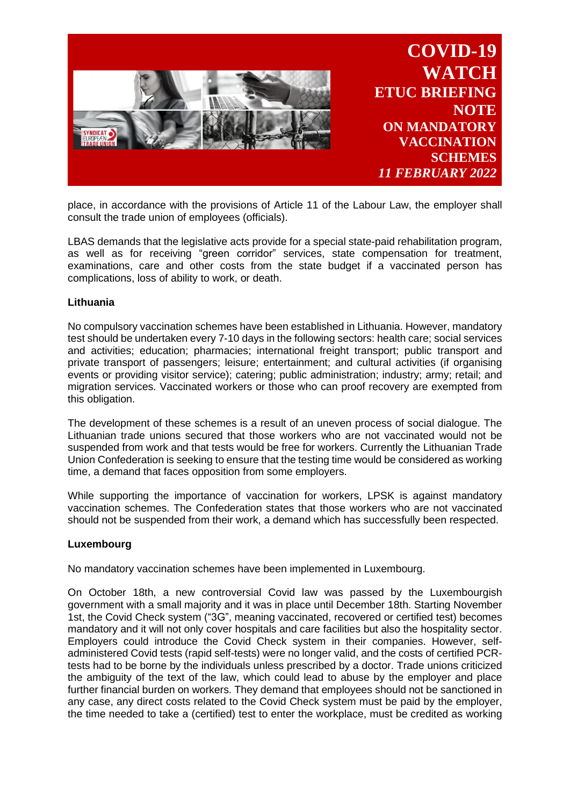

place, in accordance with the provisions of Article 11 of the Labour Law, the employer shall consult the trade union of employees (officials).

LBAS demands that the legislative acts provide for a special state-paid rehabilitation program, as well as for receiving "green corridor" services, state compensation for treatment, examinations, care and other costs from the state budget if a vaccinated person has complications, loss of ability to work, or death.

## **Lithuania**

No compulsory vaccination schemes have been established in Lithuania. However, mandatory test should be undertaken every 7-10 days in the following sectors: health care; social services and activities; education; pharmacies; international freight transport; public transport and private transport of passengers; leisure; entertainment; and cultural activities (if organising events or providing visitor service); catering; public administration; industry; army; retail; and migration services. Vaccinated workers or those who can proof recovery are exempted from this obligation.

The development of these schemes is a result of an uneven process of social dialogue. The Lithuanian trade unions secured that those workers who are not vaccinated would not be suspended from work and that tests would be free for workers. Currently the Lithuanian Trade Union Confederation is seeking to ensure that the testing time would be considered as working time, a demand that faces opposition from some employers.

While supporting the importance of vaccination for workers, LPSK is against mandatory vaccination schemes. The Confederation states that those workers who are not vaccinated should not be suspended from their work, a demand which has successfully been respected.

## **Luxembourg**

No mandatory vaccination schemes have been implemented in Luxembourg.

On October 18th, a new controversial Covid law was passed by the Luxembourgish government with a small majority and it was in place until December 18th. Starting November 1st, the Covid Check system ("3G", meaning vaccinated, recovered or certified test) becomes mandatory and it will not only cover hospitals and care facilities but also the hospitality sector. Employers could introduce the Covid Check system in their companies. However, selfadministered Covid tests (rapid self-tests) were no longer valid, and the costs of certified PCRtests had to be borne by the individuals unless prescribed by a doctor. Trade unions criticized the ambiguity of the text of the law, which could lead to abuse by the employer and place further financial burden on workers. They demand that employees should not be sanctioned in any case, any direct costs related to the Covid Check system must be paid by the employer, the time needed to take a (certified) test to enter the workplace, must be credited as working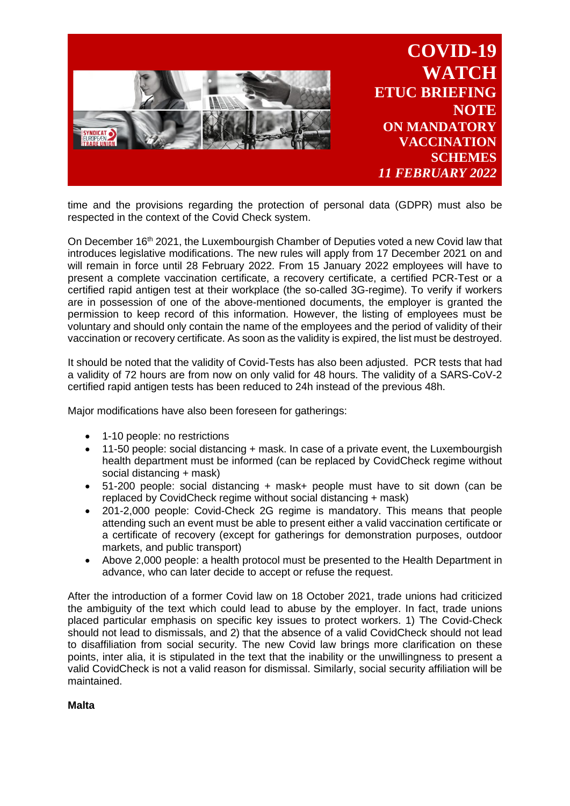

time and the provisions regarding the protection of personal data (GDPR) must also be respected in the context of the Covid Check system.

On December 16<sup>th</sup> 2021, the Luxembourgish Chamber of Deputies voted a new Covid law that introduces legislative modifications. The new rules will apply from 17 December 2021 on and will remain in force until 28 February 2022. From 15 January 2022 employees will have to present a complete vaccination certificate, a recovery certificate, a certified PCR-Test or a certified rapid antigen test at their workplace (the so-called 3G-regime). To verify if workers are in possession of one of the above-mentioned documents, the employer is granted the permission to keep record of this information. However, the listing of employees must be voluntary and should only contain the name of the employees and the period of validity of their vaccination or recovery certificate. As soon as the validity is expired, the list must be destroyed.

It should be noted that the validity of Covid-Tests has also been adjusted. PCR tests that had a validity of 72 hours are from now on only valid for 48 hours. The validity of a SARS-CoV-2 certified rapid antigen tests has been reduced to 24h instead of the previous 48h.

Major modifications have also been foreseen for gatherings:

- 1-10 people: no restrictions
- 11-50 people: social distancing + mask. In case of a private event, the Luxembourgish health department must be informed (can be replaced by CovidCheck regime without social distancing + mask)
- 51-200 people: social distancing + mask+ people must have to sit down (can be replaced by CovidCheck regime without social distancing + mask)
- 201-2,000 people: Covid-Check 2G regime is mandatory. This means that people attending such an event must be able to present either a valid vaccination certificate or a certificate of recovery (except for gatherings for demonstration purposes, outdoor markets, and public transport)
- Above 2,000 people: a health protocol must be presented to the Health Department in advance, who can later decide to accept or refuse the request.

After the introduction of a former Covid law on 18 October 2021, trade unions had criticized the ambiguity of the text which could lead to abuse by the employer. In fact, trade unions placed particular emphasis on specific key issues to protect workers. 1) The Covid-Check should not lead to dismissals, and 2) that the absence of a valid CovidCheck should not lead to disaffiliation from social security. The new Covid law brings more clarification on these points, inter alia, it is stipulated in the text that the inability or the unwillingness to present a valid CovidCheck is not a valid reason for dismissal. Similarly, social security affiliation will be maintained.

**Malta**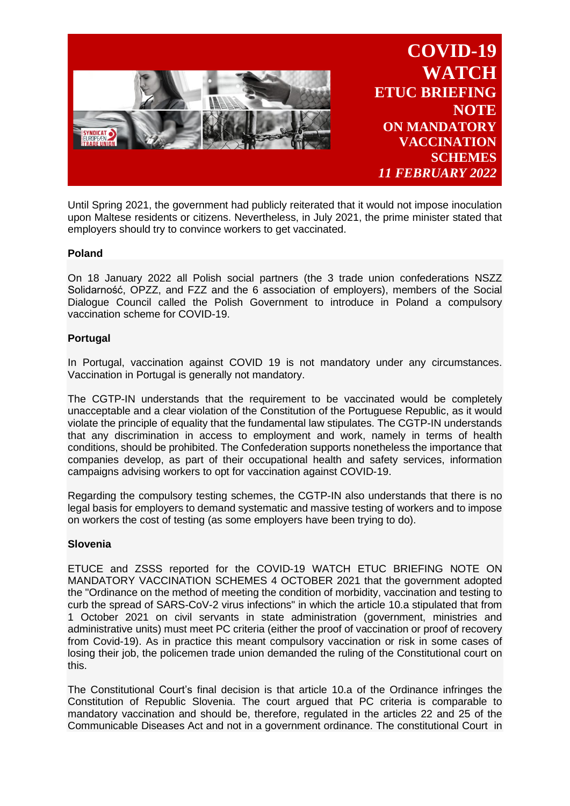

Until Spring 2021, the government had publicly reiterated that it would not impose inoculation upon Maltese residents or citizens. Nevertheless, in July 2021, the prime minister stated that employers should try to convince workers to get vaccinated.

# **Poland**

On 18 January 2022 all Polish social partners (the 3 trade union confederations NSZZ Solidarność, OPZZ, and FZZ and the 6 association of employers), members of the Social Dialogue Council called the Polish Government to introduce in Poland a compulsory vaccination scheme for COVID-19.

## **Portugal**

In Portugal, vaccination against COVID 19 is not mandatory under any circumstances. Vaccination in Portugal is generally not mandatory.

The CGTP-IN understands that the requirement to be vaccinated would be completely unacceptable and a clear violation of the Constitution of the Portuguese Republic, as it would violate the principle of equality that the fundamental law stipulates. The CGTP-IN understands that any discrimination in access to employment and work, namely in terms of health conditions, should be prohibited. The Confederation supports nonetheless the importance that companies develop, as part of their occupational health and safety services, information campaigns advising workers to opt for vaccination against COVID-19.

Regarding the compulsory testing schemes, the CGTP-IN also understands that there is no legal basis for employers to demand systematic and massive testing of workers and to impose on workers the cost of testing (as some employers have been trying to do).

## **Slovenia**

ETUCE and ZSSS reported for the COVID-19 WATCH ETUC BRIEFING NOTE ON MANDATORY VACCINATION SCHEMES 4 OCTOBER 2021 that the government adopted the "Ordinance on the method of meeting the condition of morbidity, vaccination and testing to curb the spread of SARS-CoV-2 virus infections" in which the article 10.a stipulated that from 1 October 2021 on civil servants in state administration (government, ministries and administrative units) must meet PC criteria (either the proof of vaccination or proof of recovery from Covid-19). As in practice this meant compulsory vaccination or risk in some cases of losing their job, the policemen trade union demanded the ruling of the Constitutional court on this.

The Constitutional Court's final decision is that article 10.a of the Ordinance infringes the Constitution of Republic Slovenia. The court argued that PC criteria is comparable to mandatory vaccination and should be, therefore, regulated in the articles 22 and 25 of the Communicable Diseases Act and not in a government ordinance. The constitutional Court in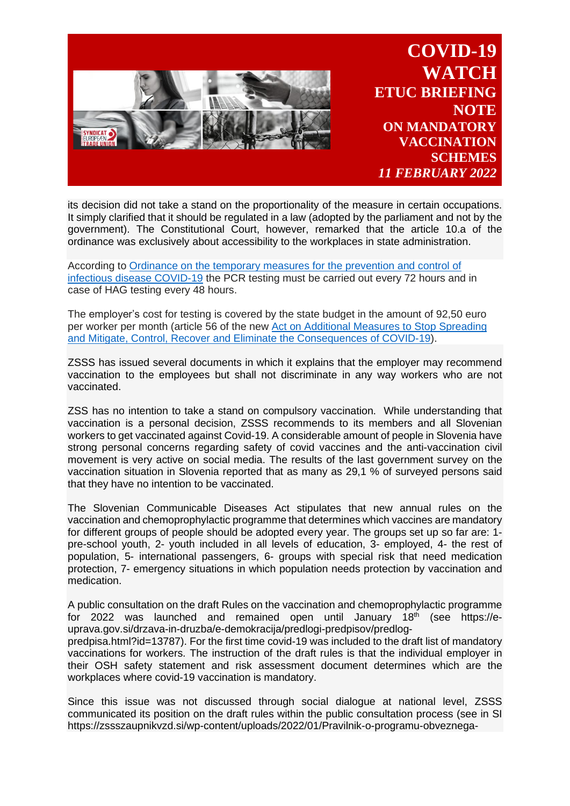

**COVID-19 WATCH ETUC BRIEFING NOTE ON MANDATORY VACCINATION SCHEMES** *11 FEBRUARY 2022*

its decision did not take a stand on the proportionality of the measure in certain occupations. It simply clarified that it should be regulated in a law (adopted by the parliament and not by the government). The Constitutional Court, however, remarked that the article 10.a of the ordinance was exclusively about accessibility to the workplaces in state administration.

According to Ordinance on the temporary measures for the [prevention](https://eur01.safelinks.protection.outlook.com/?url=http%3A%2F%2Fpisrs.si%2FPis.web%2FpregledPredpisa%3Fid%3DODLO2622&data=04%7C01%7Cidoreste%40etuc.org%7Cc0223eb8157c4a5007d108d9d74eac38%7C7a57d45075f34a4da90dac04a367b91a%7C0%7C0%7C637777556076158943%7CUnknown%7CTWFpbGZsb3d8eyJWIjoiMC4wLjAwMDAiLCJQIjoiV2luMzIiLCJBTiI6Ik1haWwiLCJXVCI6Mn0%3D%7C2000&sdata=udXmMGpTIeFh8RQBGYNKVyyCzyuV5mVOaV8rk70fAwg%3D&reserved=0) and control of infectious disease [COVID-19](https://eur01.safelinks.protection.outlook.com/?url=http%3A%2F%2Fpisrs.si%2FPis.web%2FpregledPredpisa%3Fid%3DODLO2622&data=04%7C01%7Cidoreste%40etuc.org%7Cc0223eb8157c4a5007d108d9d74eac38%7C7a57d45075f34a4da90dac04a367b91a%7C0%7C0%7C637777556076158943%7CUnknown%7CTWFpbGZsb3d8eyJWIjoiMC4wLjAwMDAiLCJQIjoiV2luMzIiLCJBTiI6Ik1haWwiLCJXVCI6Mn0%3D%7C2000&sdata=udXmMGpTIeFh8RQBGYNKVyyCzyuV5mVOaV8rk70fAwg%3D&reserved=0) the PCR testing must be carried out every 72 hours and in case of HAG testing every 48 hours.

The employer's cost for testing is covered by the state budget in the amount of 92,50 euro per worker per month (article 56 of the new Act on Additional Measures to Stop [Spreading](https://eur01.safelinks.protection.outlook.com/?url=http%3A%2F%2Fpisrs.si%2FPis.web%2FpregledPredpisa%3Fid%3DZAKO8506&data=04%7C01%7Cidoreste%40etuc.org%7Cc0223eb8157c4a5007d108d9d74eac38%7C7a57d45075f34a4da90dac04a367b91a%7C0%7C0%7C637777556076158943%7CUnknown%7CTWFpbGZsb3d8eyJWIjoiMC4wLjAwMDAiLCJQIjoiV2luMzIiLCJBTiI6Ik1haWwiLCJXVCI6Mn0%3D%7C2000&sdata=3PKvuC%2BjkQNQQ0a3Cf2qjJxy%2B93BYnaBviYoRkCUFqE%3D&reserved=0) and Mitigate, Control, Recover and Eliminate the [Consequences](https://eur01.safelinks.protection.outlook.com/?url=http%3A%2F%2Fpisrs.si%2FPis.web%2FpregledPredpisa%3Fid%3DZAKO8506&data=04%7C01%7Cidoreste%40etuc.org%7Cc0223eb8157c4a5007d108d9d74eac38%7C7a57d45075f34a4da90dac04a367b91a%7C0%7C0%7C637777556076158943%7CUnknown%7CTWFpbGZsb3d8eyJWIjoiMC4wLjAwMDAiLCJQIjoiV2luMzIiLCJBTiI6Ik1haWwiLCJXVCI6Mn0%3D%7C2000&sdata=3PKvuC%2BjkQNQQ0a3Cf2qjJxy%2B93BYnaBviYoRkCUFqE%3D&reserved=0) of COVID-19).

ZSSS has issued several documents in which it explains that the employer may recommend vaccination to the employees but shall not discriminate in any way workers who are not vaccinated.

ZSS has no intention to take a stand on compulsory vaccination. While understanding that vaccination is a personal decision, ZSSS recommends to its members and all Slovenian workers to get vaccinated against Covid-19. A considerable amount of people in Slovenia have strong personal concerns regarding safety of covid vaccines and the anti-vaccination civil movement is very active on social media. The results of the last government survey on the vaccination situation in Slovenia reported that as many as 29,1 % of surveyed persons said that they have no intention to be vaccinated.

The Slovenian Communicable Diseases Act stipulates that new annual rules on the vaccination and chemoprophylactic programme that determines which vaccines are mandatory for different groups of people should be adopted every year. The groups set up so far are: 1 pre-school youth, 2- youth included in all levels of education, 3- employed, 4- the rest of population, 5- international passengers, 6- groups with special risk that need medication protection, 7- emergency situations in which population needs protection by vaccination and medication.

A public consultation on the draft Rules on the vaccination and chemoprophylactic programme for 2022 was launched and remained open until January 18<sup>th</sup> (see https://euprava.gov.si/drzava-in-druzba/e-demokracija/predlogi-predpisov/predlog-

predpisa.html?id=13787). For the first time covid-19 was included to the draft list of mandatory vaccinations for workers. The instruction of the draft rules is that the individual employer in their OSH safety statement and risk assessment document determines which are the workplaces where covid-19 vaccination is mandatory.

Since this issue was not discussed through social dialogue at national level, ZSSS communicated its position on the draft rules within the public consultation process (see in SI https://zssszaupnikvzd.si/wp-content/uploads/2022/01/Pravilnik-o-programu-obveznega-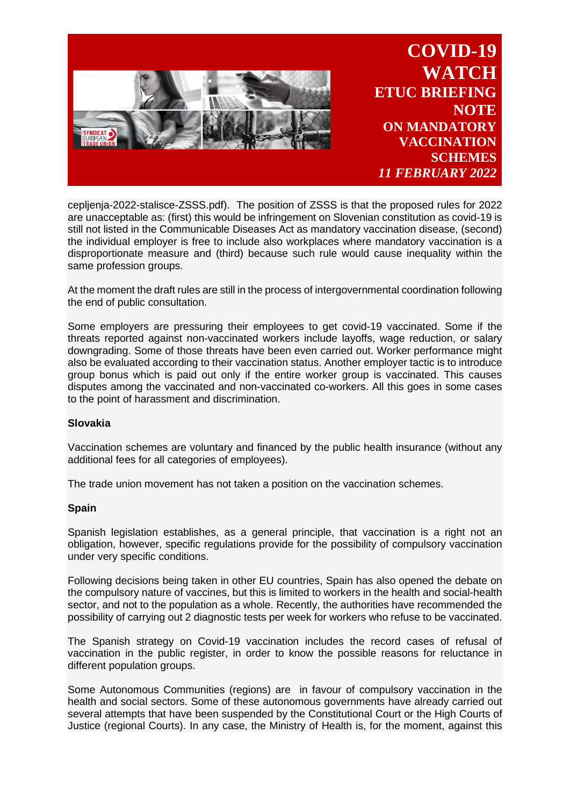

cepljenja-2022-stalisce-ZSSS.pdf). The position of ZSSS is that the proposed rules for 2022 are unacceptable as: (first) this would be infringement on Slovenian constitution as covid-19 is still not listed in the Communicable Diseases Act as mandatory vaccination disease, (second) the individual employer is free to include also workplaces where mandatory vaccination is a disproportionate measure and (third) because such rule would cause inequality within the same profession groups.

At the moment the draft rules are still in the process of intergovernmental coordination following the end of public consultation.

Some employers are pressuring their employees to get covid-19 vaccinated. Some if the threats reported against non-vaccinated workers include layoffs, wage reduction, or salary downgrading. Some of those threats have been even carried out. Worker performance might also be evaluated according to their vaccination status. Another employer tactic is to introduce group bonus which is paid out only if the entire worker group is vaccinated. This causes disputes among the vaccinated and non-vaccinated co-workers. All this goes in some cases to the point of harassment and discrimination.

## **Slovakia**

Vaccination schemes are voluntary and financed by the public health insurance (without any additional fees for all categories of employees).

The trade union movement has not taken a position on the vaccination schemes.

## **Spain**

Spanish legislation establishes, as a general principle, that vaccination is a right not an obligation, however, specific regulations provide for the possibility of compulsory vaccination under very specific conditions.

Following decisions being taken in other EU countries, Spain has also opened the debate on the compulsory nature of vaccines, but this is limited to workers in the health and social-health sector, and not to the population as a whole. Recently, the authorities have recommended the possibility of carrying out 2 diagnostic tests per week for workers who refuse to be vaccinated.

The Spanish strategy on Covid-19 vaccination includes the record cases of refusal of vaccination in the public register, in order to know the possible reasons for reluctance in different population groups.

Some Autonomous Communities (regions) are in favour of compulsory vaccination in the health and social sectors. Some of these autonomous governments have already carried out several attempts that have been suspended by the Constitutional Court or the High Courts of Justice (regional Courts). In any case, the Ministry of Health is, for the moment, against this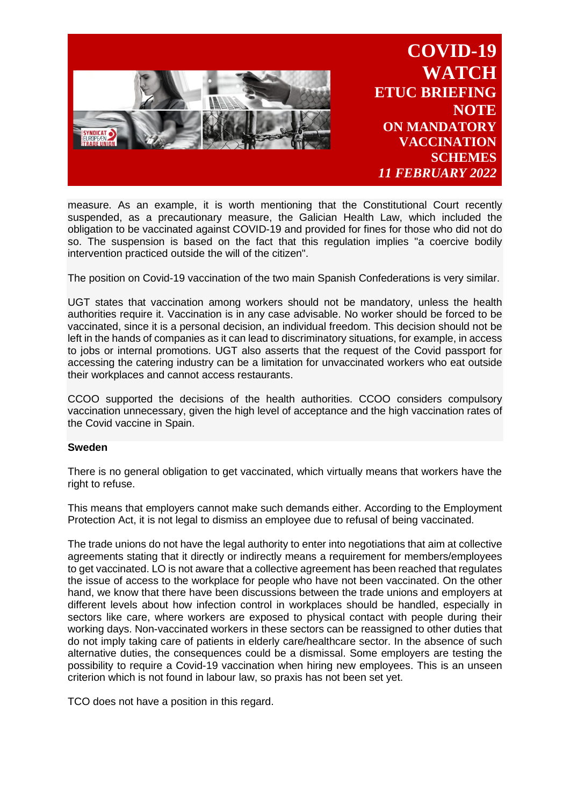

measure. As an example, it is worth mentioning that the Constitutional Court recently suspended, as a precautionary measure, the Galician Health Law, which included the obligation to be vaccinated against COVID-19 and provided for fines for those who did not do so. The suspension is based on the fact that this regulation implies "a coercive bodily intervention practiced outside the will of the citizen".

The position on Covid-19 vaccination of the two main Spanish Confederations is very similar.

UGT states that vaccination among workers should not be mandatory, unless the health authorities require it. Vaccination is in any case advisable. No worker should be forced to be vaccinated, since it is a personal decision, an individual freedom. This decision should not be left in the hands of companies as it can lead to discriminatory situations, for example, in access to jobs or internal promotions. UGT also asserts that the request of the Covid passport for accessing the catering industry can be a limitation for unvaccinated workers who eat outside their workplaces and cannot access restaurants.

CCOO supported the decisions of the health authorities. CCOO considers compulsory vaccination unnecessary, given the high level of acceptance and the high vaccination rates of the Covid vaccine in Spain.

## **Sweden**

There is no general obligation to get vaccinated, which virtually means that workers have the right to refuse.

This means that employers cannot make such demands either. According to the Employment Protection Act, it is not legal to dismiss an employee due to refusal of being vaccinated.

The trade unions do not have the legal authority to enter into negotiations that aim at collective agreements stating that it directly or indirectly means a requirement for members/employees to get vaccinated. LO is not aware that a collective agreement has been reached that regulates the issue of access to the workplace for people who have not been vaccinated. On the other hand, we know that there have been discussions between the trade unions and employers at different levels about how infection control in workplaces should be handled, especially in sectors like care, where workers are exposed to physical contact with people during their working days. Non-vaccinated workers in these sectors can be reassigned to other duties that do not imply taking care of patients in elderly care/healthcare sector. In the absence of such alternative duties, the consequences could be a dismissal. Some employers are testing the possibility to require a Covid-19 vaccination when hiring new employees. This is an unseen criterion which is not found in labour law, so praxis has not been set yet.

TCO does not have a position in this regard.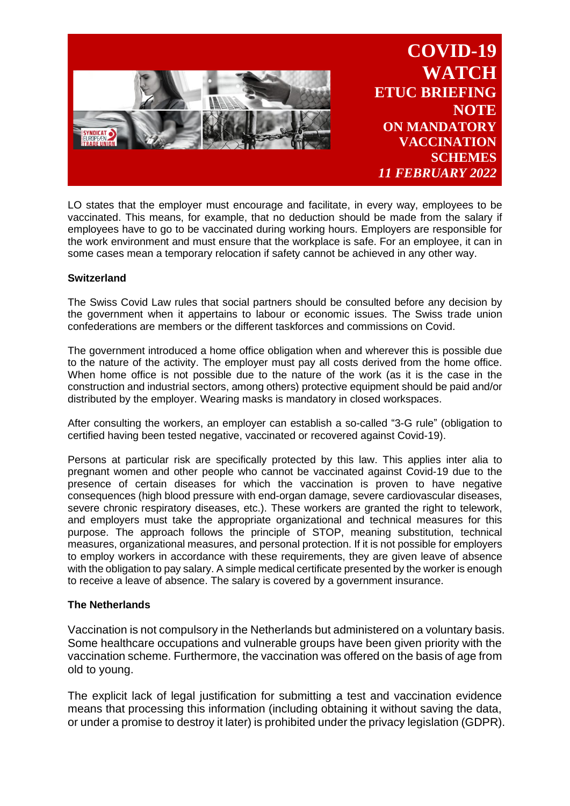

LO states that the employer must encourage and facilitate, in every way, employees to be vaccinated. This means, for example, that no deduction should be made from the salary if employees have to go to be vaccinated during working hours. Employers are responsible for the work environment and must ensure that the workplace is safe. For an employee, it can in some cases mean a temporary relocation if safety cannot be achieved in any other way.

# **Switzerland**

The Swiss Covid Law rules that social partners should be consulted before any decision by the government when it appertains to labour or economic issues. The Swiss trade union confederations are members or the different taskforces and commissions on Covid.

The government introduced a home office obligation when and wherever this is possible due to the nature of the activity. The employer must pay all costs derived from the home office. When home office is not possible due to the nature of the work (as it is the case in the construction and industrial sectors, among others) protective equipment should be paid and/or distributed by the employer. Wearing masks is mandatory in closed workspaces.

After consulting the workers, an employer can establish a so-called "3-G rule" (obligation to certified having been tested negative, vaccinated or recovered against Covid-19).

Persons at particular risk are specifically protected by this law. This applies inter alia to pregnant women and other people who cannot be vaccinated against Covid-19 due to the presence of certain diseases for which the vaccination is proven to have negative consequences (high blood pressure with end-organ damage, severe cardiovascular diseases, severe chronic respiratory diseases, etc.). These workers are granted the right to telework, and employers must take the appropriate organizational and technical measures for this purpose. The approach follows the principle of STOP, meaning substitution, technical measures, organizational measures, and personal protection. If it is not possible for employers to employ workers in accordance with these requirements, they are given leave of absence with the obligation to pay salary. A simple medical certificate presented by the worker is enough to receive a leave of absence. The salary is covered by a government insurance.

# **The Netherlands**

Vaccination is not compulsory in the Netherlands but administered on a voluntary basis. Some healthcare occupations and vulnerable groups have been given priority with the vaccination scheme. Furthermore, the vaccination was offered on the basis of age from old to young.

The explicit lack of legal justification for submitting a test and vaccination evidence means that processing this information (including obtaining it without saving the data, or under a promise to destroy it later) is prohibited under the privacy legislation (GDPR).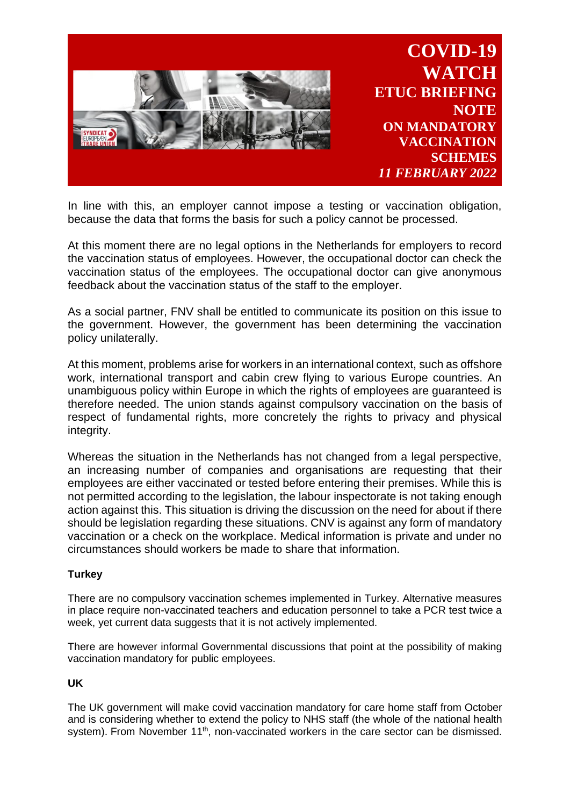

In line with this, an employer cannot impose a testing or vaccination obligation, because the data that forms the basis for such a policy cannot be processed.

At this moment there are no legal options in the Netherlands for employers to record the vaccination status of employees. However, the occupational doctor can check the vaccination status of the employees. The occupational doctor can give anonymous feedback about the vaccination status of the staff to the employer.

As a social partner, FNV shall be entitled to communicate its position on this issue to the government. However, the government has been determining the vaccination policy unilaterally.

At this moment, problems arise for workers in an international context, such as offshore work, international transport and cabin crew flying to various Europe countries. An unambiguous policy within Europe in which the rights of employees are guaranteed is therefore needed. The union stands against compulsory vaccination on the basis of respect of fundamental rights, more concretely the rights to privacy and physical integrity.

Whereas the situation in the Netherlands has not changed from a legal perspective, an increasing number of companies and organisations are requesting that their employees are either vaccinated or tested before entering their premises. While this is not permitted according to the legislation, the labour inspectorate is not taking enough action against this. This situation is driving the discussion on the need for about if there should be legislation regarding these situations. CNV is against any form of mandatory vaccination or a check on the workplace. Medical information is private and under no circumstances should workers be made to share that information.

# **Turkey**

There are no compulsory vaccination schemes implemented in Turkey. Alternative measures in place require non-vaccinated teachers and education personnel to take a PCR test twice a week, yet current data suggests that it is not actively implemented.

There are however informal Governmental discussions that point at the possibility of making vaccination mandatory for public employees.

# **UK**

The UK government will make covid vaccination mandatory for care home staff from October and is considering whether to extend the policy to NHS staff (the whole of the national health system). From November 11<sup>th</sup>, non-vaccinated workers in the care sector can be dismissed.